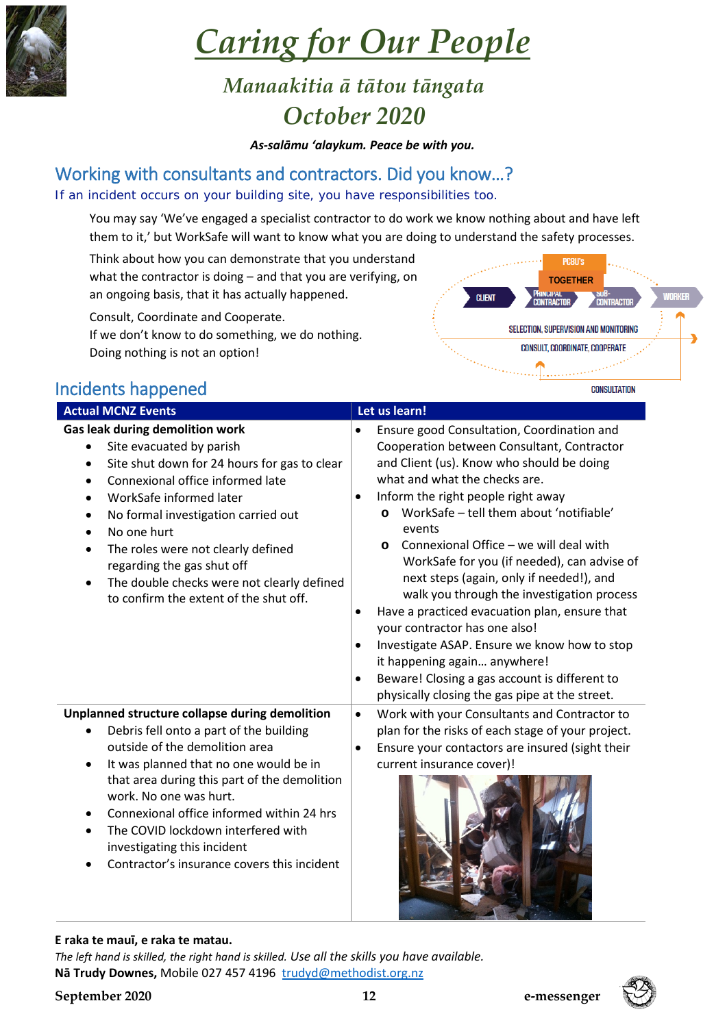

# *Caring for Our People*

# *Manaakitia ā tātou tāngata October 2020*

*As-salāmu 'alaykum. Peace be with you.*

## Working with consultants and contractors. Did you know…?

#### If an incident occurs on your building site, you have responsibilities too.

You may say 'We've engaged a specialist contractor to do work we know nothing about and have left them to it,' but WorkSafe will want to know what you are doing to understand the safety processes.

Think about how you can demonstrate that you understand what the contractor is doing – and that you are verifying, on an ongoing basis, that it has actually happened.

Consult, Coordinate and Cooperate.

If we don't know to do something, we do nothing. Doing nothing is not an option!



### Incidents happened

| <b>Actual MCNZ Events</b>                                                                                                                                                                                                                                                                                                                                                                                                     | Let us learn!                                                                                                                                                                                                                                                                                                                                                                                                                                                                                                                                                                                                                                                                                                                                                                          |
|-------------------------------------------------------------------------------------------------------------------------------------------------------------------------------------------------------------------------------------------------------------------------------------------------------------------------------------------------------------------------------------------------------------------------------|----------------------------------------------------------------------------------------------------------------------------------------------------------------------------------------------------------------------------------------------------------------------------------------------------------------------------------------------------------------------------------------------------------------------------------------------------------------------------------------------------------------------------------------------------------------------------------------------------------------------------------------------------------------------------------------------------------------------------------------------------------------------------------------|
| <b>Gas leak during demolition work</b><br>Site evacuated by parish<br>Site shut down for 24 hours for gas to clear<br>Connexional office informed late<br>WorkSafe informed later<br>No formal investigation carried out<br>٠<br>No one hurt<br>The roles were not clearly defined<br>regarding the gas shut off<br>The double checks were not clearly defined<br>to confirm the extent of the shut off.                      | Ensure good Consultation, Coordination and<br>Cooperation between Consultant, Contractor<br>and Client (us). Know who should be doing<br>what and what the checks are.<br>Inform the right people right away<br>$\bullet$<br>WorkSafe - tell them about 'notifiable'<br>$\circ$<br>events<br>Connexional Office - we will deal with<br>$\circ$<br>WorkSafe for you (if needed), can advise of<br>next steps (again, only if needed!), and<br>walk you through the investigation process<br>Have a practiced evacuation plan, ensure that<br>$\bullet$<br>your contractor has one also!<br>Investigate ASAP. Ensure we know how to stop<br>$\bullet$<br>it happening again anywhere!<br>Beware! Closing a gas account is different to<br>physically closing the gas pipe at the street. |
| Unplanned structure collapse during demolition<br>Debris fell onto a part of the building<br>outside of the demolition area<br>It was planned that no one would be in<br>$\bullet$<br>that area during this part of the demolition<br>work. No one was hurt.<br>Connexional office informed within 24 hrs<br>The COVID lockdown interfered with<br>investigating this incident<br>Contractor's insurance covers this incident | Work with your Consultants and Contractor to<br>$\bullet$<br>plan for the risks of each stage of your project.<br>Ensure your contactors are insured (sight their<br>$\bullet$<br>current insurance cover)!                                                                                                                                                                                                                                                                                                                                                                                                                                                                                                                                                                            |

#### **E raka te mauī, e raka te matau.**

*The left hand is skilled, the right hand is skilled. Use all the skills you have available.* **Nā Trudy Downes,** Mobile 027 457 4196 [trudyd@methodist.org.nz](mailto:trudyd@methodist.org.nz)